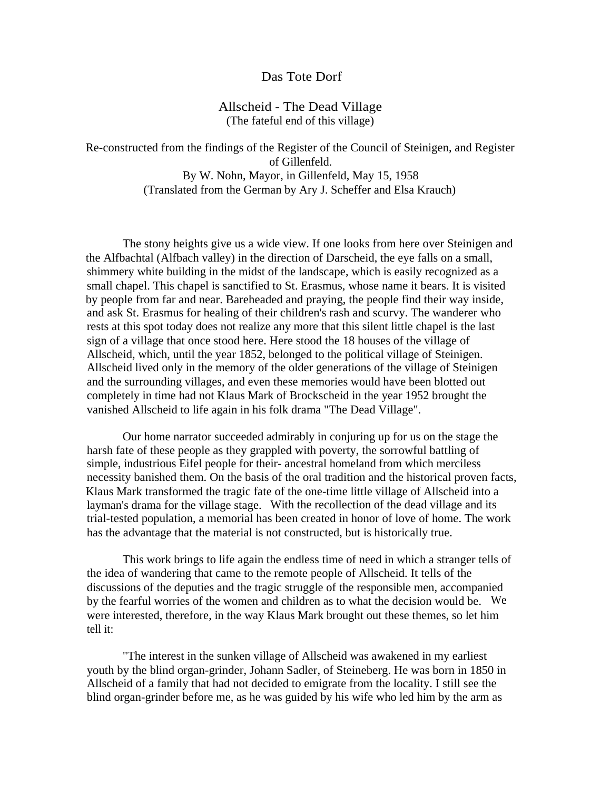## Das Tote Dorf

## Allscheid - The Dead Village (The fateful end of this village)

Re-constructed from the findings of the Register of the Council of Steinigen, and Register of Gillenfeld. By W. Nohn, Mayor, in Gillenfeld, May 15, 1958 (Translated from the German by Ary J. Scheffer and Elsa Krauch)

The stony heights give us a wide view. If one looks from here over Steinigen and the Alfbachtal (Alfbach valley) in the direction of Darscheid, the eye falls on a small, shimmery white building in the midst of the landscape, which is easily recognized as a small chapel. This chapel is sanctified to St. Erasmus, whose name it bears. It is visited by people from far and near. Bareheaded and praying, the people find their way inside, and ask St. Erasmus for healing of their children's rash and scurvy. The wanderer who rests at this spot today does not realize any more that this silent little chapel is the last sign of a village that once stood here. Here stood the 18 houses of the village of Allscheid, which, until the year 1852, belonged to the political village of Steinigen. Allscheid lived only in the memory of the older generations of the village of Steinigen and the surrounding villages, and even these memories would have been blotted out completely in time had not Klaus Mark of Brockscheid in the year 1952 brought the vanished Allscheid to life again in his folk drama "The Dead Village".

Our home narrator succeeded admirably in conjuring up for us on the stage the harsh fate of these people as they grappled with poverty, the sorrowful battling of simple, industrious Eifel people for their- ancestral homeland from which merciless necessity banished them. On the basis of the oral tradition and the historical proven facts, Klaus Mark transformed the tragic fate of the one-time little village of Allscheid into a layman's drama for the village stage. With the recollection of the dead village and its trial-tested population, a memorial has been created in honor of love of home. The work has the advantage that the material is not constructed, but is historically true.

This work brings to life again the endless time of need in which a stranger tells of the idea of wandering that came to the remote people of Allscheid. It tells of the discussions of the deputies and the tragic struggle of the responsible men, accompanied by the fearful worries of the women and children as to what the decision would be. We were interested, therefore, in the way Klaus Mark brought out these themes, so let him tell it:

"The interest in the sunken village of Allscheid was awakened in my earliest youth by the blind organ-grinder, Johann Sadler, of Steineberg. He was born in 1850 in Allscheid of a family that had not decided to emigrate from the locality. I still see the blind organ-grinder before me, as he was guided by his wife who led him by the arm as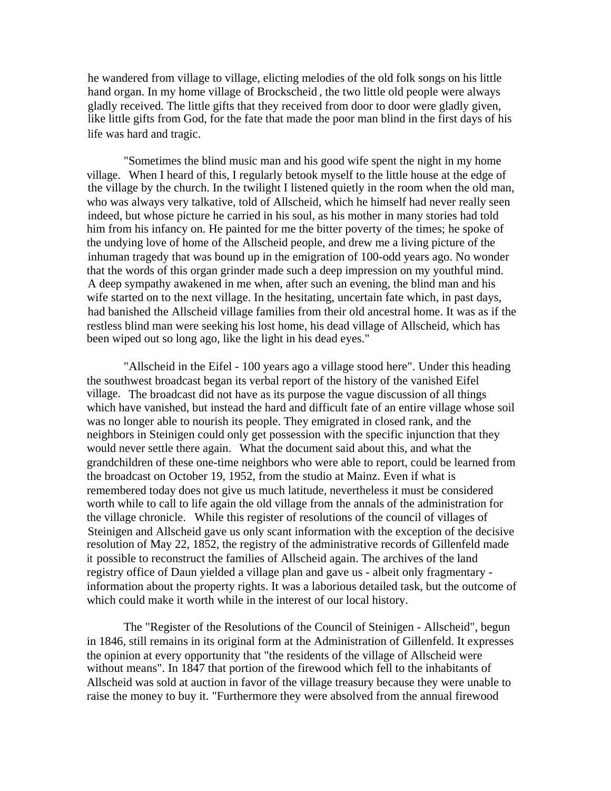he wandered from village to village, elicting melodies of the old folk songs on his little hand organ. In my home village of Brockscheid , the two little old people were always gladly received. The little gifts that they received from door to door were gladly given, like little gifts from God, for the fate that made the poor man blind in the first days of his life was hard and tragic.

"Sometimes the blind music man and his good wife spent the night in my home village. When I heard of this, I regularly betook myself to the little house at the edge of the village by the church. In the twilight I listened quietly in the room when the old man, who was always very talkative, told of Allscheid, which he himself had never really seen indeed, but whose picture he carried in his soul, as his mother in many stories had told him from his infancy on. He painted for me the bitter poverty of the times; he spoke of the undying love of home of the Allscheid people, and drew me a living picture of the inhuman tragedy that was bound up in the emigration of 100-odd years ago. No wonder that the words of this organ grinder made such a deep impression on my youthful mind. A deep sympathy awakened in me when, after such an evening, the blind man and his wife started on to the next village. In the hesitating, uncertain fate which, in past days, had banished the Allscheid village families from their old ancestral home. It was as if the restless blind man were seeking his lost home, his dead village of Allscheid, which has been wiped out so long ago, like the light in his dead eyes."

"Allscheid in the Eifel - 100 years ago a village stood here". Under this heading the southwest broadcast began its verbal report of the history of the vanished Eifel village. The broadcast did not have as its purpose the vague discussion of all things which have vanished, but instead the hard and difficult fate of an entire village whose soil was no longer able to nourish its people. They emigrated in closed rank, and the neighbors in Steinigen could only get possession with the specific injunction that they would never settle there again. What the document said about this, and what the grandchildren of these one-time neighbors who were able to report, could be learned from the broadcast on October 19, 1952, from the studio at Mainz. Even if what is remembered today does not give us much latitude, nevertheless it must be considered worth while to call to life again the old village from the annals of the administration for the village chronicle. While this register of resolutions of the council of villages of Steinigen and Allscheid gave us only scant information with the exception of the decisive resolution of May 22, 1852, the registry of the administrative records of Gillenfeld made it possible to reconstruct the families of Allscheid again. The archives of the land registry office of Daun yielded a village plan and gave us - albeit only fragmentary information about the property rights. It was a laborious detailed task, but the outcome of which could make it worth while in the interest of our local history.

The "Register of the Resolutions of the Council of Steinigen - Allscheid", begun in 1846, still remains in its original form at the Administration of Gillenfeld. It expresses the opinion at every opportunity that "the residents of the village of Allscheid were without means". In 1847 that portion of the firewood which fell to the inhabitants of Allscheid was sold at auction in favor of the village treasury because they were unable to raise the money to buy it. "Furthermore they were absolved from the annual firewood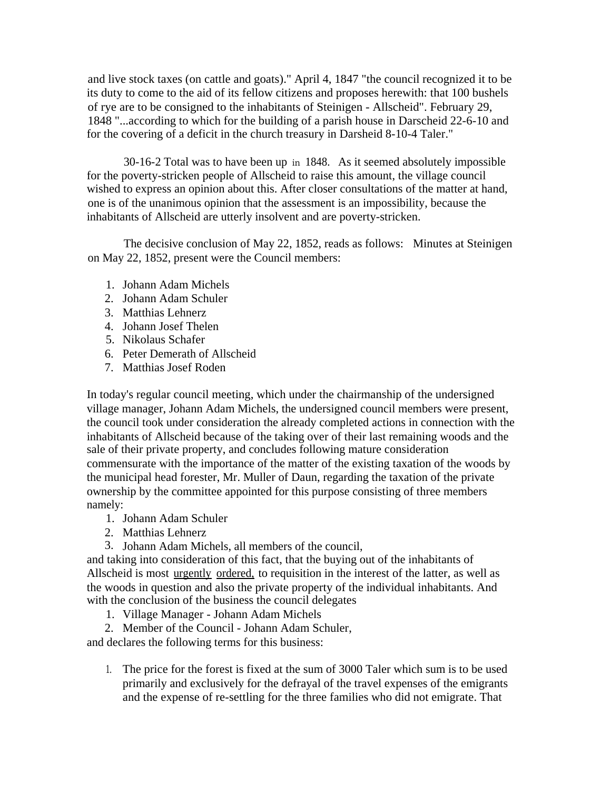and live stock taxes (on cattle and goats)." April 4, 1847 "the council recognized it to be its duty to come to the aid of its fellow citizens and proposes herewith: that 100 bushels of rye are to be consigned to the inhabitants of Steinigen - Allscheid". February 29, 1848 "...according to which for the building of a parish house in Darscheid 22-6-10 and for the covering of a deficit in the church treasury in Darsheid 8-10-4 Taler."

30-16-2 Total was to have been up in 1848. As it seemed absolutely impossible for the poverty-stricken people of Allscheid to raise this amount, the village council wished to express an opinion about this. After closer consultations of the matter at hand, one is of the unanimous opinion that the assessment is an impossibility, because the inhabitants of Allscheid are utterly insolvent and are poverty-stricken.

The decisive conclusion of May 22, 1852, reads as follows: Minutes at Steinigen on May 22, 1852, present were the Council members:

- 1. Johann Adam Michels
- 2. Johann Adam Schuler
- 3. Matthias Lehnerz
- 4. Johann Josef Thelen
- 5. Nikolaus Schafer
- 6. Peter Demerath of Allscheid
- 7. Matthias Josef Roden

In today's regular council meeting, which under the chairmanship of the undersigned village manager, Johann Adam Michels, the undersigned council members were present, the council took under consideration the already completed actions in connection with the inhabitants of Allscheid because of the taking over of their last remaining woods and the sale of their private property, and concludes following mature consideration commensurate with the importance of the matter of the existing taxation of the woods by the municipal head forester, Mr. Muller of Daun, regarding the taxation of the private ownership by the committee appointed for this purpose consisting of three members namely:

- 1. Johann Adam Schuler
- 2. Matthias Lehnerz
- 3. Johann Adam Michels, all members of the council,

and taking into consideration of this fact, that the buying out of the inhabitants of Allscheid is most urgently ordered, to requisition in the interest of the latter, as well as the woods in question and also the private property of the individual inhabitants. And with the conclusion of the business the council delegates

1. Village Manager - Johann Adam Michels

2. Member of the Council - Johann Adam Schuler,

and declares the following terms for this business:

1. The price for the forest is fixed at the sum of 3000 Taler which sum is to be used primarily and exclusively for the defrayal of the travel expenses of the emigrants and the expense of re-settling for the three families who did not emigrate. That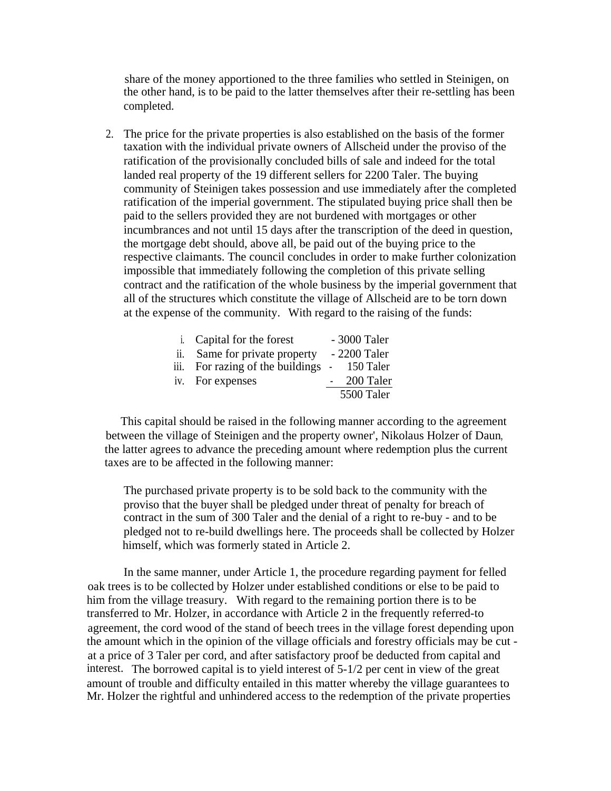share of the money apportioned to the three families who settled in Steinigen, on the other hand, is to be paid to the latter themselves after their re-settling has been completed.

2. The price for the private properties is also established on the basis of the former taxation with the individual private owners of Allscheid under the proviso of the ratification of the provisionally concluded bills of sale and indeed for the total landed real property of the 19 different sellers for 2200 Taler. The buying community of Steinigen takes possession and use immediately after the completed ratification of the imperial government. The stipulated buying price shall then be paid to the sellers provided they are not burdened with mortgages or other incumbrances and not until 15 days after the transcription of the deed in question, the mortgage debt should, above all, be paid out of the buying price to the respective claimants. The council concludes in order to make further colonization impossible that immediately following the completion of this private selling contract and the ratification of the whole business by the imperial government that all of the structures which constitute the village of Allscheid are to be torn down at the expense of the community. With regard to the raising of the funds:

|     | i. Capital for the forest        | - 3000 Taler |
|-----|----------------------------------|--------------|
| ii. | Same for private property        | - 2200 Taler |
|     | iii. For razing of the buildings | $-150$ Taler |
|     | iv. For expenses                 | 200 Taler    |
|     |                                  | 5500 Taler   |

This capital should be raised in the following manner according to the agreement between the village of Steinigen and the property owner', Nikolaus Holzer of Daun, the latter agrees to advance the preceding amount where redemption plus the current taxes are to be affected in the following manner:

The purchased private property is to be sold back to the community with the proviso that the buyer shall be pledged under threat of penalty for breach of contract in the sum of 300 Taler and the denial of a right to re-buy - and to be pledged not to re-build dwellings here. The proceeds shall be collected by Holzer himself, which was formerly stated in Article 2.

In the same manner, under Article 1, the procedure regarding payment for felled oak trees is to be collected by Holzer under established conditions or else to be paid to him from the village treasury. With regard to the remaining portion there is to be transferred to Mr. Holzer, in accordance with Article 2 in the frequently referred-to agreement, the cord wood of the stand of beech trees in the village forest depending upon the amount which in the opinion of the village officials and forestry officials may be cut at a price of 3 Taler per cord, and after satisfactory proof be deducted from capital and interest. The borrowed capital is to yield interest of 5-1/2 per cent in view of the great amount of trouble and difficulty entailed in this matter whereby the village guarantees to Mr. Holzer the rightful and unhindered access to the redemption of the private properties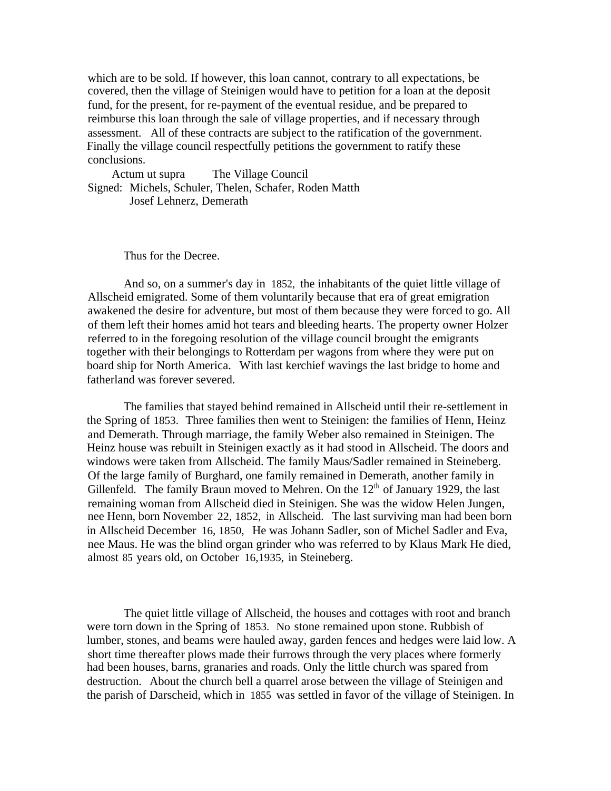which are to be sold. If however, this loan cannot, contrary to all expectations, be covered, then the village of Steinigen would have to petition for a loan at the deposit fund, for the present, for re-payment of the eventual residue, and be prepared to reimburse this loan through the sale of village properties, and if necessary through assessment. All of these contracts are subject to the ratification of the government. Finally the village council respectfully petitions the government to ratify these conclusions.

Actum ut supra The Village Council Signed: Michels, Schuler, Thelen, Schafer, Roden Matth Josef Lehnerz, Demerath

Thus for the Decree.

And so, on a summer's day in 1852, the inhabitants of the quiet little village of Allscheid emigrated. Some of them voluntarily because that era of great emigration awakened the desire for adventure, but most of them because they were forced to go. All of them left their homes amid hot tears and bleeding hearts. The property owner Holzer referred to in the foregoing resolution of the village council brought the emigrants together with their belongings to Rotterdam per wagons from where they were put on board ship for North America. With last kerchief wavings the last bridge to home and fatherland was forever severed.

The families that stayed behind remained in Allscheid until their re-settlement in the Spring of 1853. Three families then went to Steinigen: the families of Henn, Heinz and Demerath. Through marriage, the family Weber also remained in Steinigen. The Heinz house was rebuilt in Steinigen exactly as it had stood in Allscheid. The doors and windows were taken from Allscheid. The family Maus/Sadler remained in Steineberg. Of the large family of Burghard, one family remained in Demerath, another family in Gillenfeld. The family Braun moved to Mehren. On the  $12<sup>th</sup>$  of January 1929, the last remaining woman from Allscheid died in Steinigen. She was the widow Helen Jungen, nee Henn, born November 22, 1852, in Allscheid. The last surviving man had been born in Allscheid December 16, 1850, He was Johann Sadler, son of Michel Sadler and Eva, nee Maus. He was the blind organ grinder who was referred to by Klaus Mark He died, almost 85 years old, on October 16,1935, in Steineberg.

The quiet little village of Allscheid, the houses and cottages with root and branch were torn down in the Spring of 1853. No stone remained upon stone. Rubbish of lumber, stones, and beams were hauled away, garden fences and hedges were laid low. A short time thereafter plows made their furrows through the very places where formerly had been houses, barns, granaries and roads. Only the little church was spared from destruction. About the church bell a quarrel arose between the village of Steinigen and the parish of Darscheid, which in 1855 was settled in favor of the village of Steinigen. In